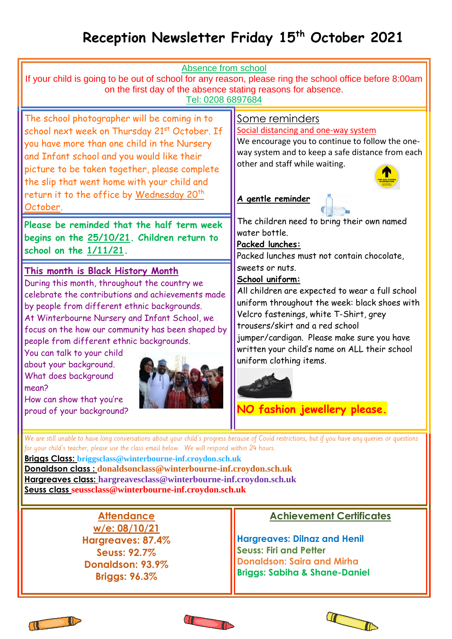# **Reception Newsletter Friday 15th October 2021**

| Absence from school<br>If your child is going to be out of school for any reason, please ring the school office before 8:00am<br>on the first day of the absence stating reasons for absence.<br>Tel: 0208 6897684                                                                                                                                                                                                                                                                                                |                                                                                                                                                                                                                                                                                                                                                                                                                                                                                                                                                                                                                                                                                                                                       |
|-------------------------------------------------------------------------------------------------------------------------------------------------------------------------------------------------------------------------------------------------------------------------------------------------------------------------------------------------------------------------------------------------------------------------------------------------------------------------------------------------------------------|---------------------------------------------------------------------------------------------------------------------------------------------------------------------------------------------------------------------------------------------------------------------------------------------------------------------------------------------------------------------------------------------------------------------------------------------------------------------------------------------------------------------------------------------------------------------------------------------------------------------------------------------------------------------------------------------------------------------------------------|
| The school photographer will be coming in to<br>school next week on Thursday 21st October. If<br>you have more than one child in the Nursery<br>and Infant school and you would like their<br>picture to be taken together, please complete<br>the slip that went home with your child and<br>return it to the office by Wednesday 20 <sup>th</sup><br>October.<br>Please be reminded that the half term week<br>begins on the 25/10/21. Children return to<br>school on the $1/11/21$ .                          | Some reminders<br>Social distancing and one-way system<br>We encourage you to continue to follow the one-<br>way system and to keep a safe distance from each<br>other and staff while waiting.<br>A gentle reminder<br>The children need to bring their own named<br>water bottle.<br>Packed lunches:<br>Packed lunches must not contain chocolate,<br>sweets or nuts.<br>School uniform:<br>All children are expected to wear a full school<br>uniform throughout the week: black shoes with<br>Velcro fastenings, white T-Shirt, grey<br>trousers/skirt and a red school<br>jumper/cardigan. Please make sure you have<br>written your child's name on ALL their school<br>uniform clothing items.<br>NO fashion jewellery please. |
| This month is Black History Month<br>During this month, throughout the country we<br>celebrate the contributions and achievements made<br>by people from different ethnic backgrounds.<br>At Winterbourne Nursery and Infant School, we<br>focus on the how our community has been shaped by<br>people from different ethnic backgrounds.<br>You can talk to your child<br>about your background.<br>What does background<br>mean?<br>How can show that you're<br>proud of your background?                       |                                                                                                                                                                                                                                                                                                                                                                                                                                                                                                                                                                                                                                                                                                                                       |
| We are still unable to have long conversations about your child's progress because of Covid restrictions, but if you have any queries or questions<br>for your child's teacher, please use the class email below. We will respond within 24 hours.<br>Briggs Class: briggsclass@winterbourne-inf.croydon.sch.uk<br>Donaldson class: donaldsonclass@winterbourne-inf.croydon.sch.uk<br>Hargreaves class: hargreavesclass@winterbourne-inf.croydon.sch.uk<br>Seuss class seussclass@winterbourne-inf.croydon.sch.uk |                                                                                                                                                                                                                                                                                                                                                                                                                                                                                                                                                                                                                                                                                                                                       |
| <b>Attendance</b><br>w/e: 08/10/21<br>Hargreaves: 87.4%<br><b>Seuss: 92.7%</b><br>Donaldson: 93.9%<br><b>Briggs: 96.3%</b>                                                                                                                                                                                                                                                                                                                                                                                        | <b>Achievement Certificates</b><br><b>Hargreaves: Dilnaz and Henil</b><br><b>Seuss: Firi and Petter</b><br><b>Donaldson: Saira and Mirha</b><br><b>Briggs: Sabiha &amp; Shane-Daniel</b>                                                                                                                                                                                                                                                                                                                                                                                                                                                                                                                                              |